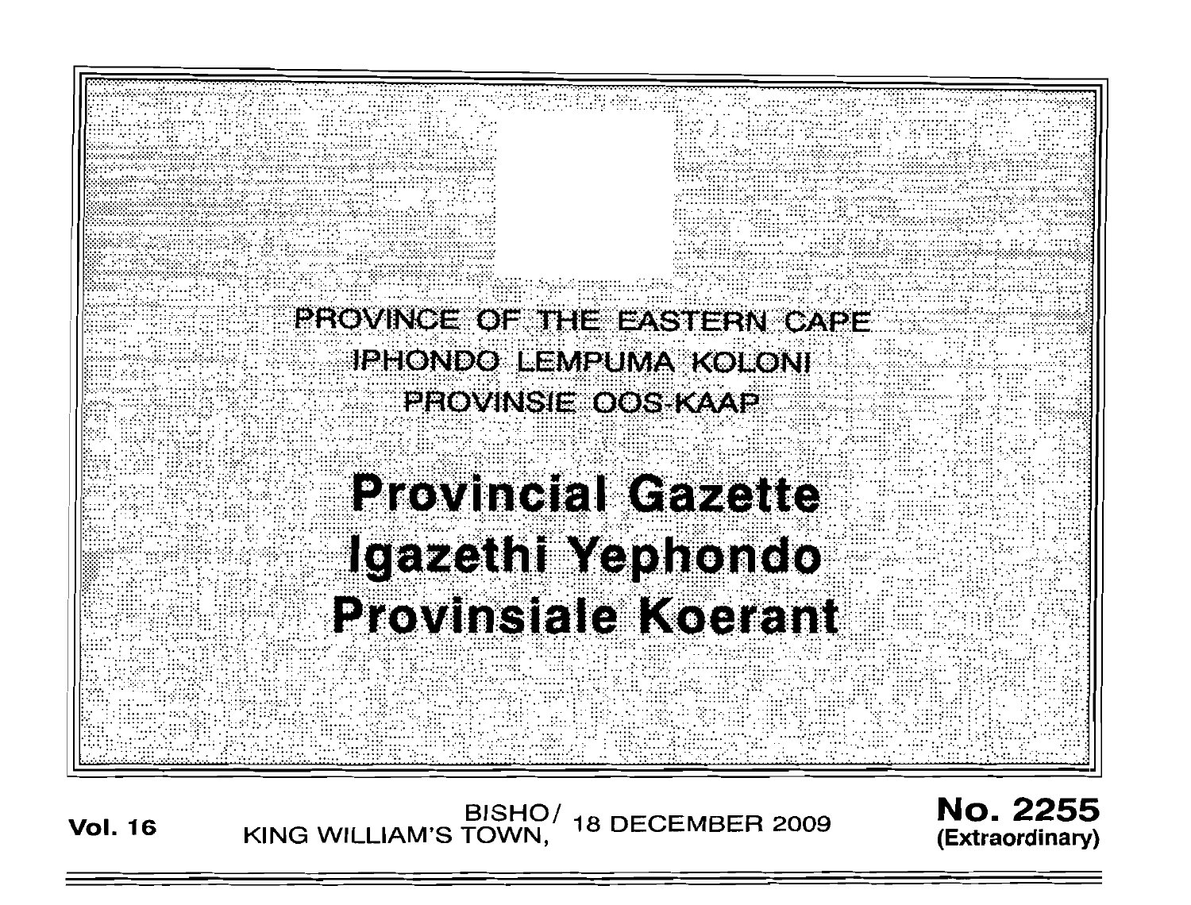

/BISHO<br>KING WILLIAM'S TOWN, **18 DECEMBER 2009 Vol. 16** 

**No. 2255** (Extraordinary)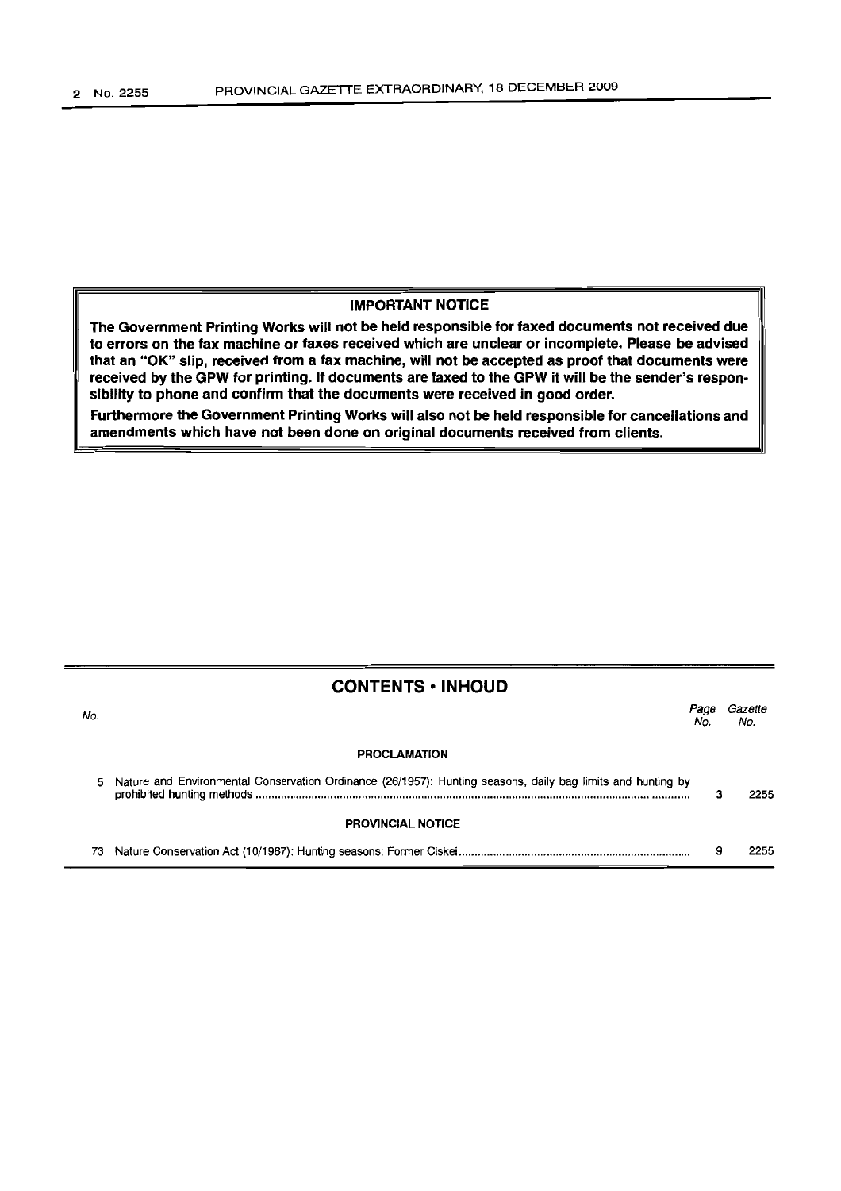#### IMPORTANT NOTICE

The Government Printing Works will not be held responsible for faxed documents not received due to errors on the fax machine or faxes received which are unclear or incomplete. Please be advised that an "OK" slip, received from a fax machine, will not be accepted as proof that documents were received by the GPW for printing. If documents are faxed to the GPW it will be the sender's responsibility to phone and confirm that the documents were received in good order.

Furthermore the Government Printing Works will also not be held responsible for cancellations and amendments which have not been done on original documents received from clients.

|     | <b>CONTENTS • INHOUD</b>                                                                                      |             |                |  |
|-----|---------------------------------------------------------------------------------------------------------------|-------------|----------------|--|
| No. |                                                                                                               | Раов<br>No. | Gazette<br>No. |  |
|     | <b>PROCLAMATION</b>                                                                                           |             |                |  |
|     | 5 Nature and Environmental Conservation Ordinance (26/1957): Hunting seasons, daily bag limits and hunting by | з           | 2255           |  |
|     | <b>PROVINCIAL NOTICE</b>                                                                                      |             |                |  |
|     |                                                                                                               | 9           | 2255           |  |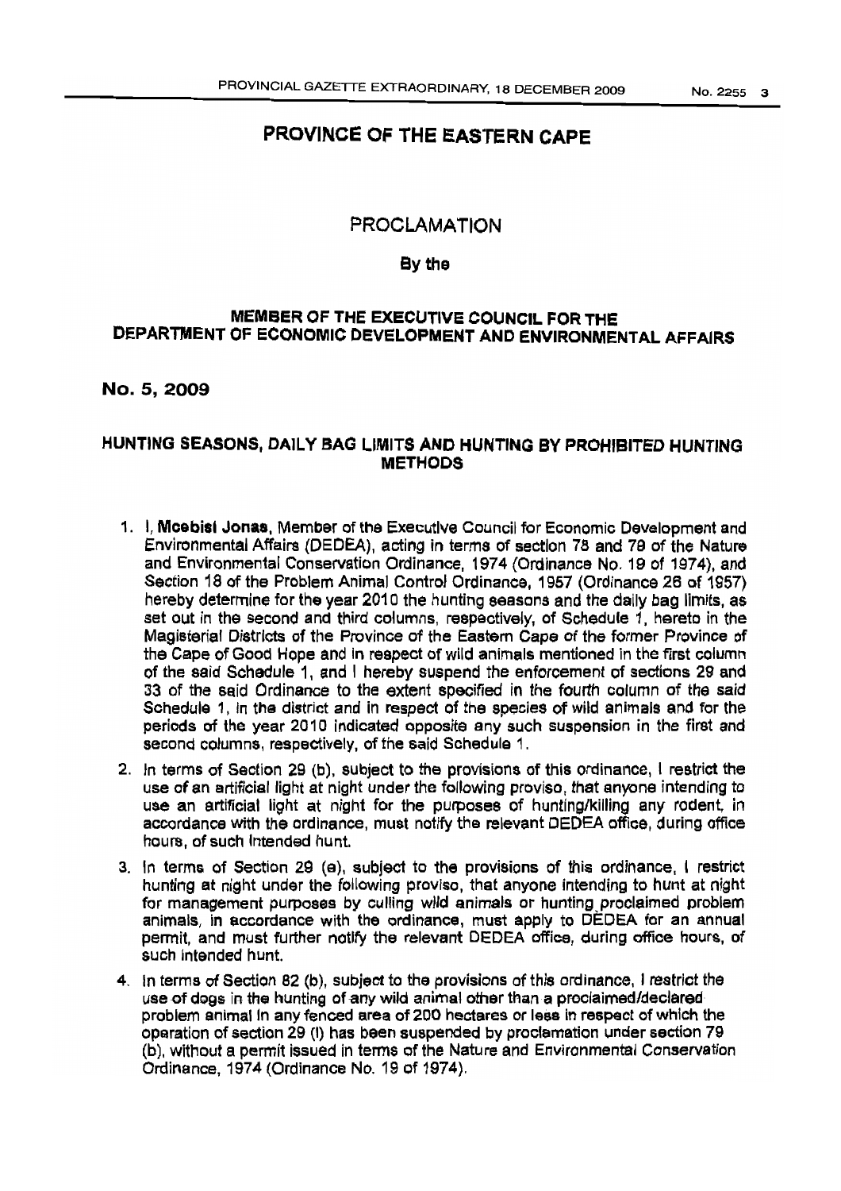# PROVINCE OF THE EASTERN CAPE

## PROCLAMATION

### Bythe

## MEMBER OF THE EXECUTIVE COUNCIL FOR THE DEPARTMENT OF ECONOMIC DEVELOPMENTAND ENVIRONMENTAL AFFAIRS

## No. 5,2009

## HUNTING SEASONS, DAILY BAG LIMITS AND HUNTING BY PROHIBITED HUNTING **METHODS**

- 1. I, Mcebisl Jonas, Member of the Executive Council for Economic Development and Environmental Affairs (DEDEA), acting in terms of section 78 and 79 of the Nature and Environmental Conservation Ordinance, 1974 (Ordinance No. 19 of 1974), and Section 18 of the Problem Animal Control Ordinance, 1957 (Ordinance 26 of 1957) hereby determine for the year 2010 the hunting seasons and the daily bag limits, as set out in the second and third columns, respectively, of Schedule 1, hereto in the Magisterial Districts of the Province of the Eastern Cape of the former Province of the Cape of Good Hope and in respect of wild animals mentioned in the first column of the said Schedule 1, and I hereby suspend the enforcement of sections 29 and 33 of the said Ordinance to the extent specified in the fourth column of the said Schedule 1, in the district and in respect of the species of wild animals and for the periods of the year 2010 indicated opposite any such suspension in the first and second columns, respectively, of the said Schedule 1.
- 2. In terms of Section 29 (b), subject to the provisions of this ordinance, I restrict the use of an artificial light at night under the following proviso, that anyone intending to use an artificial light at night for the purposes of hunting/killing any rodent, in accordance with the ordinance, must notify the relevant DEDEA office, during office hours, of such Intended hunt.
- 3. In terms of Section 29 (e), subject to the provisions of this ordinance, I restrict hunting at night under the following proviso, that anyone intending to hunt at night for management purposes by culling wild animals or hunting.proclaimed problem animals, in accordance with the ordinance, must apply to DEDEA for an annual permit, and must further notify the relevant DEDEA office, during office hours, of such intended hunt.
- 4. In terms of Section 82 (b), subject to the provisions of this ordinance, I restrict the use of dogs in the hunting of any wild animal other than a proclaimed/declared problem animal in any fenced area of 200 hectares or less in respect of which the operation of section 29 (I) has been suspended by proclamation under section 79 (b), without a permit issued in terms of the Nature and Environmental Conservation Ordinance, 1974 (Ordinance No. 19 of 1974).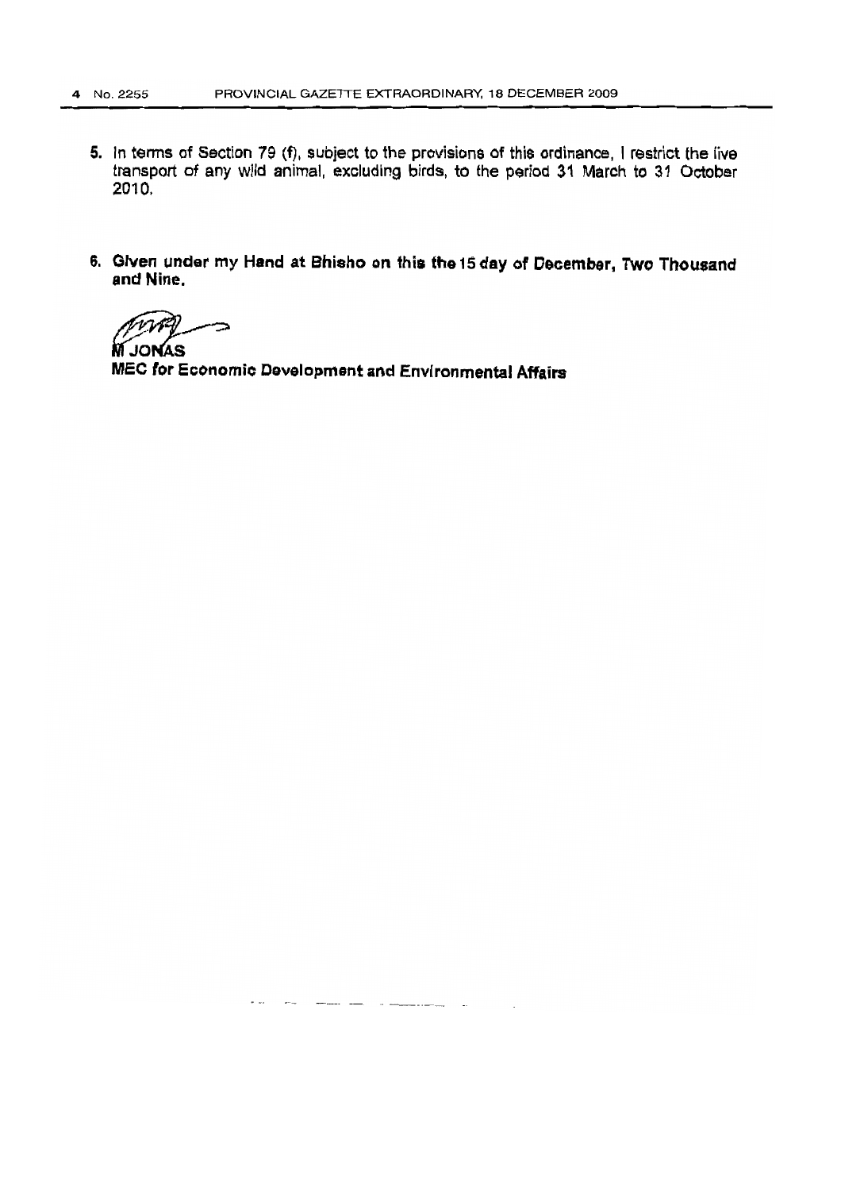- 5. In terms of Section 79 (f), subject to the provisions of this ordinance, I restrict the live transport of any wild animal, excluding birds, to the period 31 March to 31 October 2010.
- 6. Given under my Hand at Bhisno on this the 15day of December, Two Thousand and Nine.

∽

**M** JONAS MEC for Economic Development and Environmental Affairs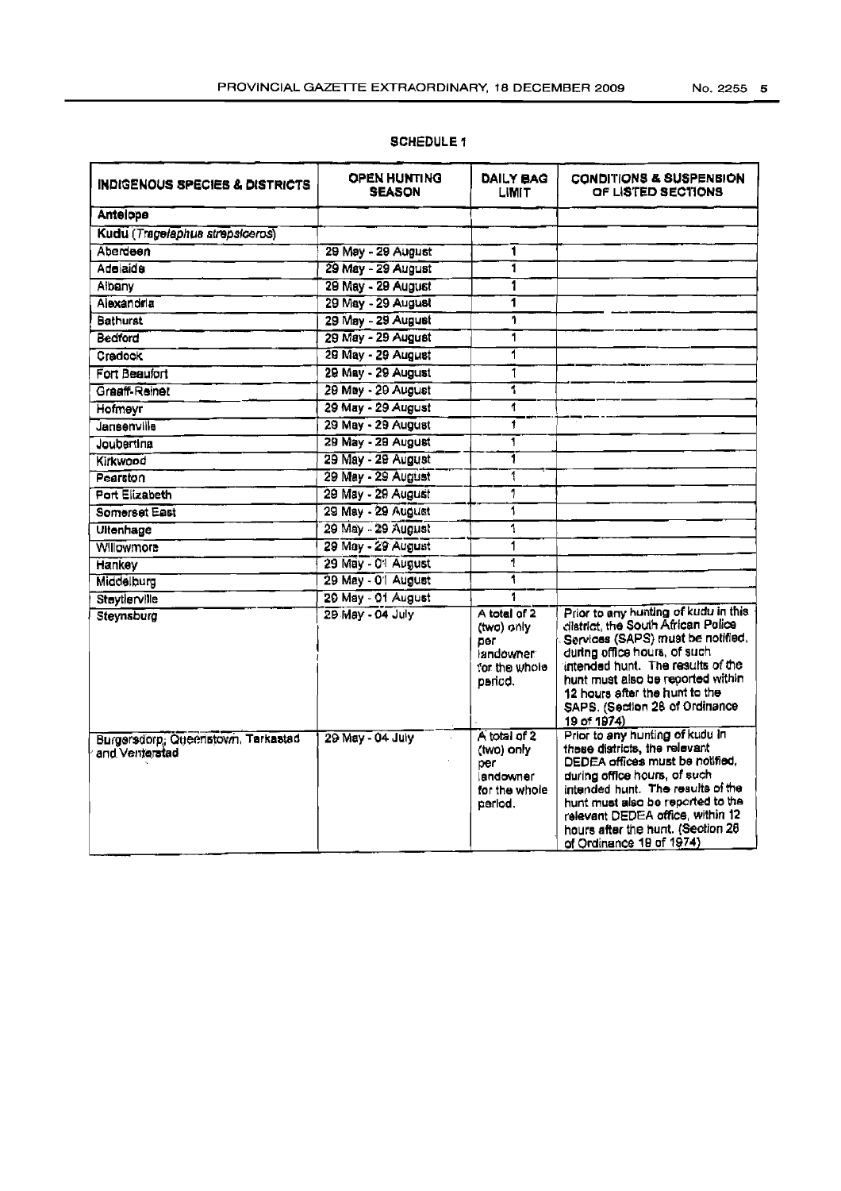| No. 2255 | 5 |
|----------|---|
|          |   |

| <b>INDIGENOUS SPECIES &amp; DISTRICTS</b>            | <b>OPEN HUNTING</b><br><b>SEASON</b> | DAILY BAG<br><b>LIMIT</b>                                                          | <b>CONDITIONS &amp; SUSPENSION</b><br>OF LISTED SECTIONS                                                                                                                                                                                                                                                           |
|------------------------------------------------------|--------------------------------------|------------------------------------------------------------------------------------|--------------------------------------------------------------------------------------------------------------------------------------------------------------------------------------------------------------------------------------------------------------------------------------------------------------------|
| Antelope                                             |                                      |                                                                                    |                                                                                                                                                                                                                                                                                                                    |
| Kudu (Tragelaphus strepsiceros)                      |                                      |                                                                                    |                                                                                                                                                                                                                                                                                                                    |
| Aberdeen                                             | 29 May - 29 August                   | 1                                                                                  |                                                                                                                                                                                                                                                                                                                    |
| Adelaide                                             | 29 May - 29 August                   | ī                                                                                  |                                                                                                                                                                                                                                                                                                                    |
| Albany                                               | 29 May - 29 August                   | 1                                                                                  |                                                                                                                                                                                                                                                                                                                    |
| Alexandria                                           | 29 May - 29 August                   | 1                                                                                  |                                                                                                                                                                                                                                                                                                                    |
| Bathurst                                             | 29 May - 29 August                   | 1                                                                                  |                                                                                                                                                                                                                                                                                                                    |
| <b>Bedford</b>                                       | 29 May - 29 August                   | ī                                                                                  |                                                                                                                                                                                                                                                                                                                    |
| Cradock                                              | 29 May - 29 August                   | 1                                                                                  |                                                                                                                                                                                                                                                                                                                    |
| Fort Beautort                                        | 29 May - 29 August                   | $\overline{\mathbf{1}}$                                                            |                                                                                                                                                                                                                                                                                                                    |
| Graaff-Reinet                                        | 29 May - 29 August                   | Ŧ                                                                                  |                                                                                                                                                                                                                                                                                                                    |
| Hofmeyr                                              | 29 May - 29 August                   | 1                                                                                  |                                                                                                                                                                                                                                                                                                                    |
| Jansenville                                          | 29 May - 29 August                   | 1                                                                                  |                                                                                                                                                                                                                                                                                                                    |
| Joubertina                                           | 29 May - 29 August                   | ī                                                                                  |                                                                                                                                                                                                                                                                                                                    |
| Kirkwood                                             | 29 May - 29 August                   | 1                                                                                  |                                                                                                                                                                                                                                                                                                                    |
| Pearston                                             | 29 May - 29 August                   | 1                                                                                  |                                                                                                                                                                                                                                                                                                                    |
| Port Elizabeth                                       | 29 May - 29 August                   | 1                                                                                  |                                                                                                                                                                                                                                                                                                                    |
| Somerset East                                        | 29 May - 29 August                   | 1                                                                                  |                                                                                                                                                                                                                                                                                                                    |
| Ultenhage                                            | 29 May - 29 August                   | 1                                                                                  |                                                                                                                                                                                                                                                                                                                    |
| Willowmore                                           | 29 May - 29 August                   | 1                                                                                  |                                                                                                                                                                                                                                                                                                                    |
| Hankey                                               | 29 May - 01 August                   | 1                                                                                  |                                                                                                                                                                                                                                                                                                                    |
| Middelburg                                           | 29 May - 01 August                   | 1                                                                                  |                                                                                                                                                                                                                                                                                                                    |
| Steytlerville                                        | 29 May - 01 August                   | 1                                                                                  |                                                                                                                                                                                                                                                                                                                    |
| Steynsburg                                           | 29 May - 04 July                     | A total of 2<br>(two) only<br><b>Der</b><br>landowner:<br>for the whole<br>paried. | Prior to any hunting of kudu in this<br>district, the South African Police<br>Services (SAPS) must be notified,<br>during office hours, of such<br>intended hunt. The results of the<br>hunt must also be reported within<br>12 hours after the hunt to the<br>SAPS. (Section 28 of Ordinance<br>19 of 1974)       |
| Burgersdorp, Queenstown, Tarkastad<br>and Venterstad | 29 May - 04 July                     | A total of 2<br>(two) only<br>per<br>landowner<br>for the whole<br>period.         | Prior to any hunting of kudu in<br>these districts, the relevant<br>DEDEA offices must be notified,<br>during office hours, of such<br>intended hunt. The results of the<br>hunt must also be reported to the<br>relevant DEDEA office, within 12<br>hours after the hunt. (Section 28<br>of Ordinance 19 of 1974) |

### **SCHEDULE 1**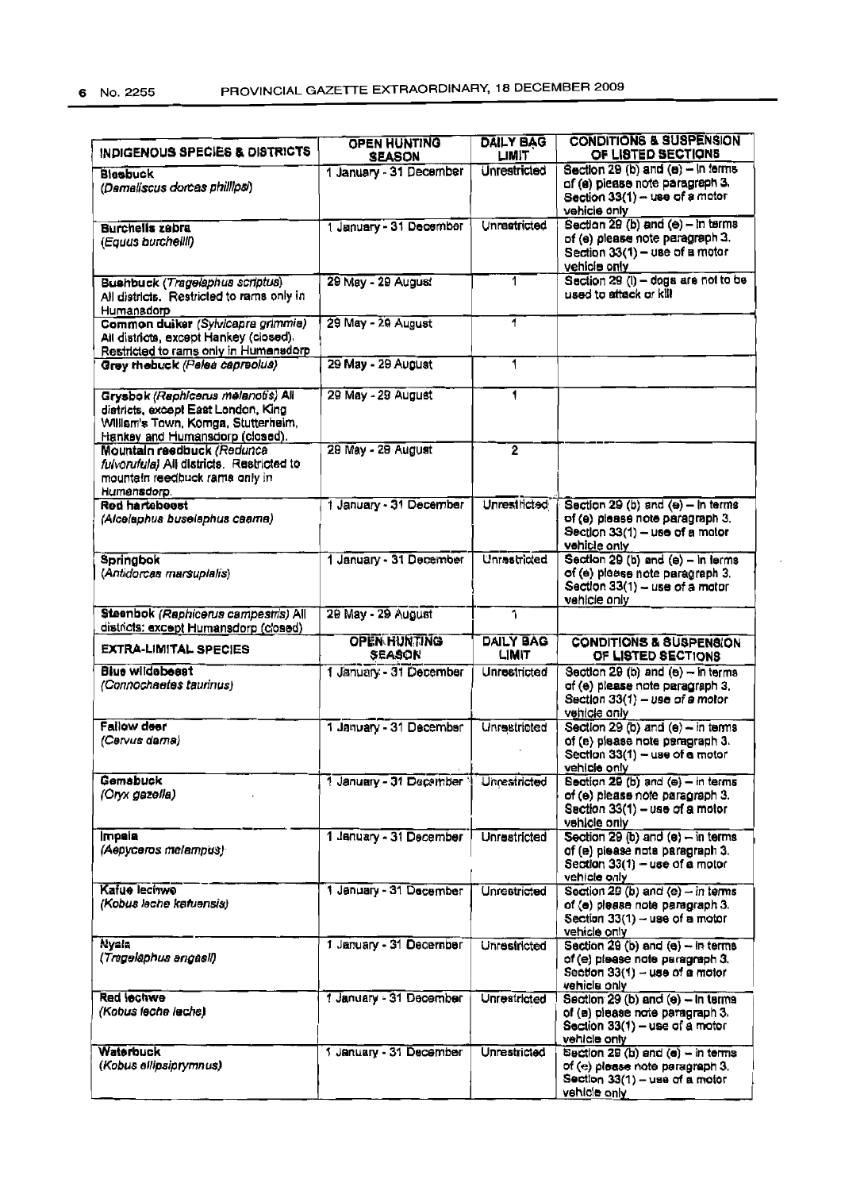| INDIGENOUS SPECIES & DISTRICTS                                                                                                                      | OPEN HUNTING<br><b>SEASON</b> | <b>DAILY BAG</b><br>LIMIT        | <b>CONDITIONS &amp; SUSPENSION</b><br>OF LISTED SECTIONS                                                                        |
|-----------------------------------------------------------------------------------------------------------------------------------------------------|-------------------------------|----------------------------------|---------------------------------------------------------------------------------------------------------------------------------|
| Blesbuck<br>(Demaliscus dorcas phillipsi)                                                                                                           | 1 January - 31 December       | Unrestricted                     | Section 29 (b) and (e) - In terms<br>of (e) piease note paragraph 3.<br>Section 33(1) - use of a motor<br>vehicle only          |
| <b>Burchells zabra</b><br>(Equus burcheilli)                                                                                                        | 1 January - 31 December       | Unreatricted                     | Section 29 (b) and (e) - in terms<br>of (e) please note paragraph 3.<br>Section 33(1) - use of a motor<br>vehicle only          |
| <b>Bushbuck (Tragelaphus scriptus)</b><br>All districts. Restricted to rams only in<br>Humansdorp                                                   | 29 May - 29 August            | 1                                | Section 29 (i) - dogs are not to be<br>used to attack or kill                                                                   |
| Common duiker (Sylvicapra grimmia)<br>All districts, except Hankey (closed).<br>Restricted to rams only in Humansdorp                               | 29 May - 29 August            | 1                                |                                                                                                                                 |
| Grey rhebuck (Pelea capreolus)                                                                                                                      | 29 May - 29 August            | 1                                |                                                                                                                                 |
| Grysbok (Raphicerus melanotis) All<br>districts, except East London, King<br>William's Town, Komga, Stutterheim,<br>Hankey and Humansdorp (closed). | 29 May - 29 August            | 1                                |                                                                                                                                 |
| Mountain reedbuck (Redunce<br>fulvorufula) All districts. Restricted to<br>mountain reedbuck rams only in<br>Humansdorp.                            | 29 May - 29 August            | $\overline{2}$                   |                                                                                                                                 |
| Red hartebeest<br>(Alcelaphus buselaphus caama)                                                                                                     | 1 January - 31 December       | <b>Unrestricted</b>              | Section 29 (b) and $(e)$ - In terms<br>of (e) please note paragraph 3.<br>Section 33(1) - use of a motor<br>vehicle only        |
| Springbok<br>(Antidorcas marsuplalis)                                                                                                               | 1 January - 31 December       | Unrestricted                     | Section 29 (b) and (e) - in terms<br>of (e) please note paragraph 3.<br>Section 33(1) - use of a motor<br>vehicle only          |
| Steenbok (Raphicerus campestris) All<br>districts: except Humansdorp (closed)                                                                       | 29 May - 29 August            | $\overline{\mathbf{1}}$          |                                                                                                                                 |
| <b>EXTRA-LIMITAL SPECIES</b>                                                                                                                        | OPEN HUNTING<br>SEASON        | <b>DAILY BAG</b><br><b>LIMIT</b> | <b>CONDITIONS &amp; SUSPENSION</b><br>OF LISTED SECTIONS                                                                        |
| <b>Blue wildebeast</b><br>(Connochaetes taurinus)                                                                                                   | 1 January - 31 December       | Unrestricted                     | Section 29 (b) and $(e) - in terms$<br>of (e) please note paragraph 3.<br>Section $33(1) - \nu$ se of a motor<br>vehicle only   |
| Fallow deer<br>(Cervus dama)                                                                                                                        | 1 January - 31 December       | Unrestricted                     | Section 29 (b) and (e) $-$ in terms<br>of (e) please note paragraph 3.<br>Section 33(1) - use of a motor<br>vehicle only        |
| <b>Gemsbuck</b><br>(Oryx gazella)                                                                                                                   | 1 January - 31 December       | Unrestricted                     | Section 29 (b) and (e) - in terms<br>of (e) please note paragraph 3.<br>Section 33(1) - use of a motor<br>vehicle only          |
| <b>Impala</b><br>(Aepyceros melampus)                                                                                                               | 1 January - 31 December       | <b>Unrestricted</b>              | Section 29 (b) and (e) $-$ in terms<br>of (e) piease note paragraph 3.<br>Section 33(1) - use of a motor<br>vehicle only        |
| Kafue lecitwo<br>(Kobus leche katuensis)                                                                                                            | 1 January - 31 December       | Unrestricted                     | Section 29 (b) and $(e)$ - in terms<br>of (e) please note paragraph 3.<br>Section 33(1) - use of a motor<br>vehicle only        |
| Nyala<br>(Tragelaphus angasil)                                                                                                                      | 1 January - 31 December       | Unrestricted                     | Section 29 (b) and (e) - in terms<br>of (e) please note paragraph 3.<br>Section 33(1) - use of a motor<br>vehicle only          |
| <b>Red lechwe</b><br>(Kobus leche leche)                                                                                                            | 1 January - 31 December       | <b>Unrestricted</b>              | Section 29 (b) and (e) - In terms<br>of (a) please note paragraph 3.<br>Section 33(1) – use of a motor<br>vehicle only          |
| Waterbuck<br>(Kobus ellipsiprymnus)                                                                                                                 | 1 January - 31 December       | <b>Unrestricted</b>              | Section 29 (b) and (e) - in terms<br>of (e) please note paragraph 3.<br>Section $33(1) - \text{use of a motor}$<br>vehicle only |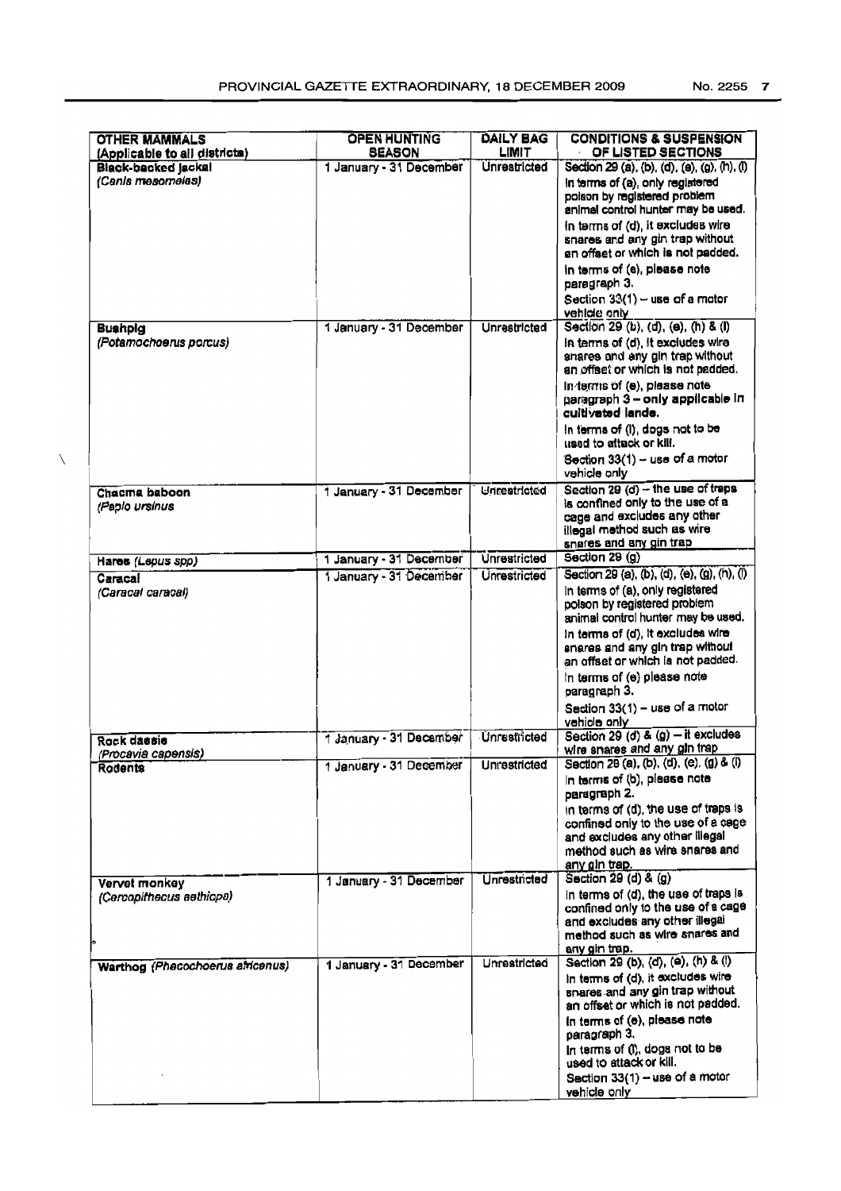| <b>OTHER MAMMALS</b>                                 | <b>OPEN HUNTING</b>                      | <b>DAILY BAG</b>                    | <b>CONDITIONS &amp; SUSPENSION</b>                                                                                                                                     |
|------------------------------------------------------|------------------------------------------|-------------------------------------|------------------------------------------------------------------------------------------------------------------------------------------------------------------------|
| (Applicable to all districts)<br>Black-backed Jackal | <b>SEASON</b><br>1 January - 31 December | <b>LIMIT</b><br><b>Unrestricted</b> | OF LISTED SECTIONS<br>Section 29 (a), (b), (d), (e), (g), (h), (l)                                                                                                     |
| (Canis mesomeias)                                    |                                          |                                     | In terms of (a), only registered<br>poison by registered problem                                                                                                       |
|                                                      |                                          |                                     | animal control hunter may be used.<br>in terms of (d), it excludes wire<br>snares and any gin trap without<br>en offset or which is not padded.                        |
|                                                      |                                          |                                     | in terms of (e), please note<br>paragraph 3.<br>Section 33(1) - use of a motor                                                                                         |
|                                                      | 1 January - 31 December                  | Unrestricted                        | vehicle only<br>Section 29 (b), (d), (e), (h) & (l)                                                                                                                    |
| <b>Bushpig</b><br>(Potamochoerus porcus)             |                                          |                                     | in terms of (d), it excludes wire<br>snares and any gin trap without<br>an offset or which is not padded.                                                              |
|                                                      |                                          |                                     | In terms of (e), please note<br>paragraph 3 - only applicable in<br>cuitivated lande.                                                                                  |
|                                                      |                                          |                                     | In terms of (I), dogs not to be<br>used to attack or kill.<br>Section 33(1) - use of a motor                                                                           |
|                                                      |                                          |                                     | vehicle only                                                                                                                                                           |
| Chacma baboon<br>(Papio ursinus                      | 1 January - 31 December                  | Unrestricted                        | Section 29 (d) -- the use of traps<br>is confined only to the use of a<br>cage and excludes any other<br>illegal method such as wire<br>snares and any gin trap        |
| Hares (Lepus spp)                                    | 1 January - 31 December                  | Unrestricted                        | Section 29 (g)                                                                                                                                                         |
| Caracal<br>(Caracal caracal)                         | 1 January - 31 December                  | <b>Unrestricted</b>                 | Section 29 (a), (b), (d), (e), (g), (h), (l)<br>In terms of (a), only registered<br>polson by registered problem<br>animal control hunter may be used.                 |
|                                                      |                                          |                                     | in terms of (d), it excludes wire<br>snares and any gin trap without<br>an offset or which is not padded.                                                              |
|                                                      |                                          |                                     | In terms of (e) please note<br>paragraph 3.<br>Section 33(1) - use of a motor<br>vehicle only                                                                          |
| Rock dassie                                          | 1 January - 31 December                  | <b>Unrestricted</b>                 | Section 29 (d) & $(g)$ - it excludes                                                                                                                                   |
| (Procavia capensis)                                  |                                          |                                     | wire snares and any gin trap                                                                                                                                           |
| <b>Rodents</b>                                       | 1 January - 31 December                  | <b>Unrestricted</b>                 | Section 29 (a), (b), (d), (e), (g) & (i)<br>In terms of (b), please note<br>paragraph 2.                                                                               |
|                                                      |                                          |                                     | in terms of (d), the use of traps is<br>confined only to the use of a cage<br>and excludes any other illegal<br>method such as wire snares and                         |
|                                                      |                                          |                                     | any gin trap.                                                                                                                                                          |
| Vervet monkey<br>(Cercopithecus aethiopa)            | 1 January - 31 December                  | <b>Unrestricted</b>                 | Saction 29 (d) & (g)<br>In terms of (d), the use of traps is<br>confined only to the use of a cage<br>and excludes any other illegal<br>method such as wire snares and |
|                                                      |                                          |                                     | any gin trap.                                                                                                                                                          |
| Warthog (Phacochoerus africanus)                     | 1 January - 31 December                  | Unrestricted                        | Section 29 (b), (d), (e), (h) & (l)<br>In terms of (d), it excludes wire<br>snares and any gin trap without<br>an offset or which is not padded.                       |
|                                                      |                                          |                                     | In terms of (e), please note<br>paragraph 3.                                                                                                                           |
|                                                      |                                          |                                     | In terms of (I), dogs not to be<br>used to attack or kill.                                                                                                             |
|                                                      |                                          |                                     | Section 33(1) - use of a motor<br>vehicle only                                                                                                                         |

 $\overline{\phantom{0}}$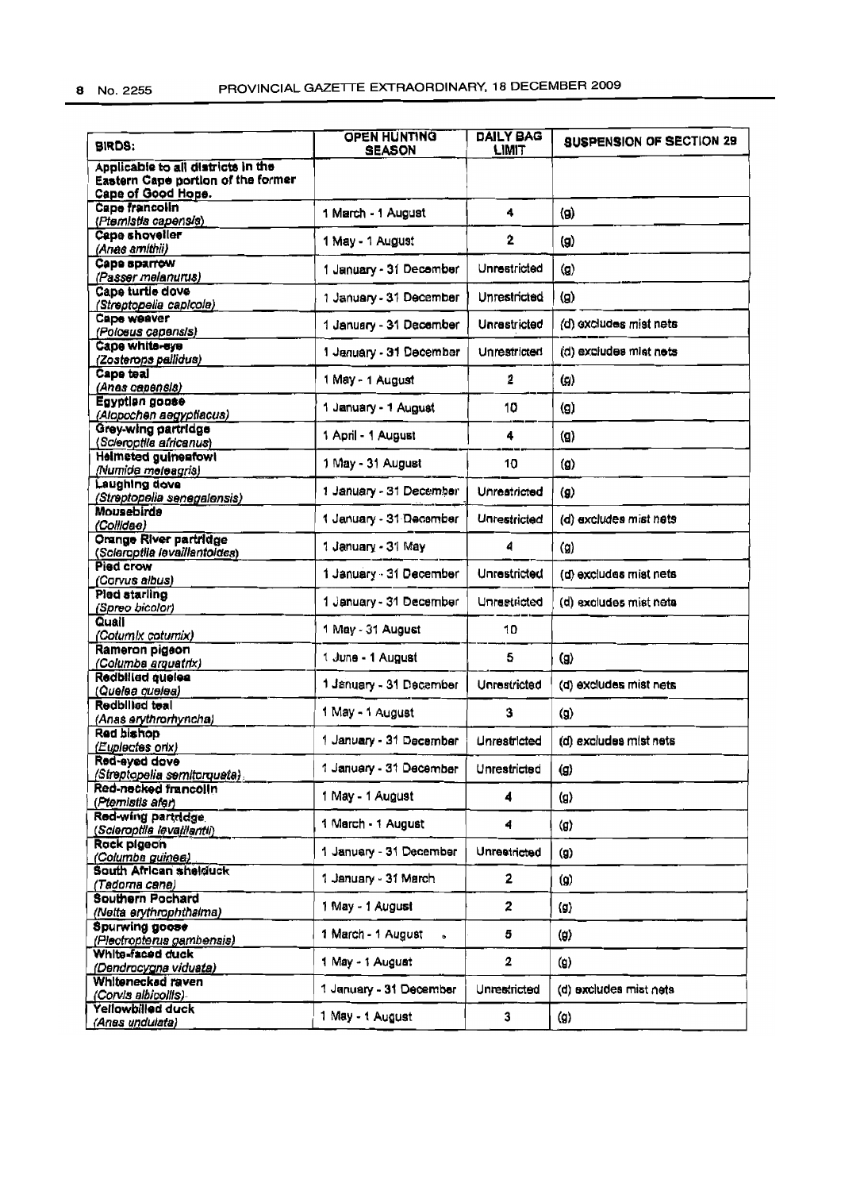| <b>BIRDS:</b>                                                                                  | <b>OPEN HUNTING</b><br><b>SEASON</b> | DAILY BAG<br>LIMIT  | <b>SUSPENSION OF SECTION 29</b> |
|------------------------------------------------------------------------------------------------|--------------------------------------|---------------------|---------------------------------|
| Applicable to all districts in the<br>Eastern Cape portion of the former<br>Cape of Good Hope. |                                      |                     |                                 |
| Cape francolin<br>(Ptemistis capensis)                                                         | 1 March - 1 August                   | 4                   | (g)                             |
| Cape shoveller<br>(Anas smithii)                                                               | 1 May - 1 August                     | $\mathbf{2}$        | (g)                             |
| Cape sparrow<br>(Passer melanurus)                                                             | 1 January - 31 December              | Unrestricted        | (g)                             |
| Cape turtle dove<br>(Streptopelia capicola)                                                    | 1 January - 31 December              | Unrestricted        | (g)                             |
| Cape weaver<br>(Polceus capensis)                                                              | 1 January - 31 December              | Unrastricted        | (d) excludes mist nets          |
| Cape white-eye<br>(Zosterops pallidus)                                                         | 1 January - 31 December              | <b>Unrestricted</b> | (d) excludes mist nets          |
| Cape teal<br>(Anas capensis)                                                                   | 1 May - 1 August                     | 2                   | $\left( g\right)$               |
| Egyptian goose<br>(Alopochen aegyptiacus)                                                      | 1 January - 1 August                 | 10                  | (g)                             |
| <b>Grey-wing partridge</b><br>(Scieroptila africanus)                                          | 1 April - 1 August                   | 4                   | $\mathbf{Q}$                    |
| <b>Helmeted guinesfowl</b><br>(Numida meleagris)                                               | 1 May - 31 August                    | 10                  | $\mathbf{q}$                    |
| Laughing dove<br>(Streptopelia senegalensis)                                                   | 1 January - 31 December              | Unrestricted        | (g)                             |
| <b>Mousebirds</b><br>(Collidae)                                                                | 1 January - 31 December              | Unrestricted        | (d) excludes mist nets          |
| Orange River partridge<br>(Scieroptila levaillantoides)                                        | 1 January - 31 May                   | 4                   | (g)                             |
| Pied crow<br>(Corvus albus)                                                                    | 1 January - 31 December              | Unrestricted        | (d) excludes mist nets          |
| Pled starling<br>(Spreo bicolor)                                                               | 1 January - 31 December              | Unrestricted        | (d) excludes mist neta          |
| Quali<br>(Cotumix cotumix)                                                                     | 1 May - 31 August                    | 10                  |                                 |
| Rameron pigeon<br>(Columba arquatrix)                                                          | 1 June - 1 August                    | 5                   | (g)                             |
| Redbilled quelea<br>(Quelea quelea)                                                            | 1 January - 31 December              | Unrestricted        | (d) excludes mist nets          |
| <b>Redbilled teal</b><br>(Anas erythrorhyncha)                                                 | 1 May - 1 August                     | 3                   | (g)                             |
| Red bishop<br>(Euplectes orix)                                                                 | 1 January - 31 December              | Unrestricted        | (d) excludes mist nets          |
| Red-eved dove<br>(Streptopelia semitorquata).                                                  | 1 January - 31 December              | Unrestricted        | (g)                             |
| Red-necked francolin<br>(Ptemistis afer)                                                       | 1 May - 1 August                     | 4                   | (g)                             |
| Red-wing partridge<br>(Scieroptila levaillaritii)                                              | 1 March - 1 August                   | 4                   | $\langle g \rangle$             |
| Rock pigeon<br>(Columba guines)                                                                | 1 January - 31 December              | Unrestricted        | (g)                             |
| South African shelduck<br>(Tadoma cana)                                                        | 1 January - 31 March                 | 2                   | (g)                             |
| <b>Southern Pochard</b><br>(Netta erythrophthalma)                                             | 1 May - 1 August                     | 2                   | $\langle 0 \rangle$             |
| <b>Spurwing goose</b><br>(Plectropterus gambensis)                                             | 1 March - 1 August<br>$\bullet$      | 5                   | (g)                             |
| White-faced duck<br>(Dendrocygna viduata)                                                      | 1 May - 1 August                     | 2                   | (g)                             |
| Whitenecked raven<br>(Corvis albicoilis)                                                       | 1 January - 31 December              | Unrestricted        | (d) excludes mist nets          |
| Yellowbilled duck<br>(Anas undulata)                                                           | 1 May - 1 August                     | 3                   | (g)                             |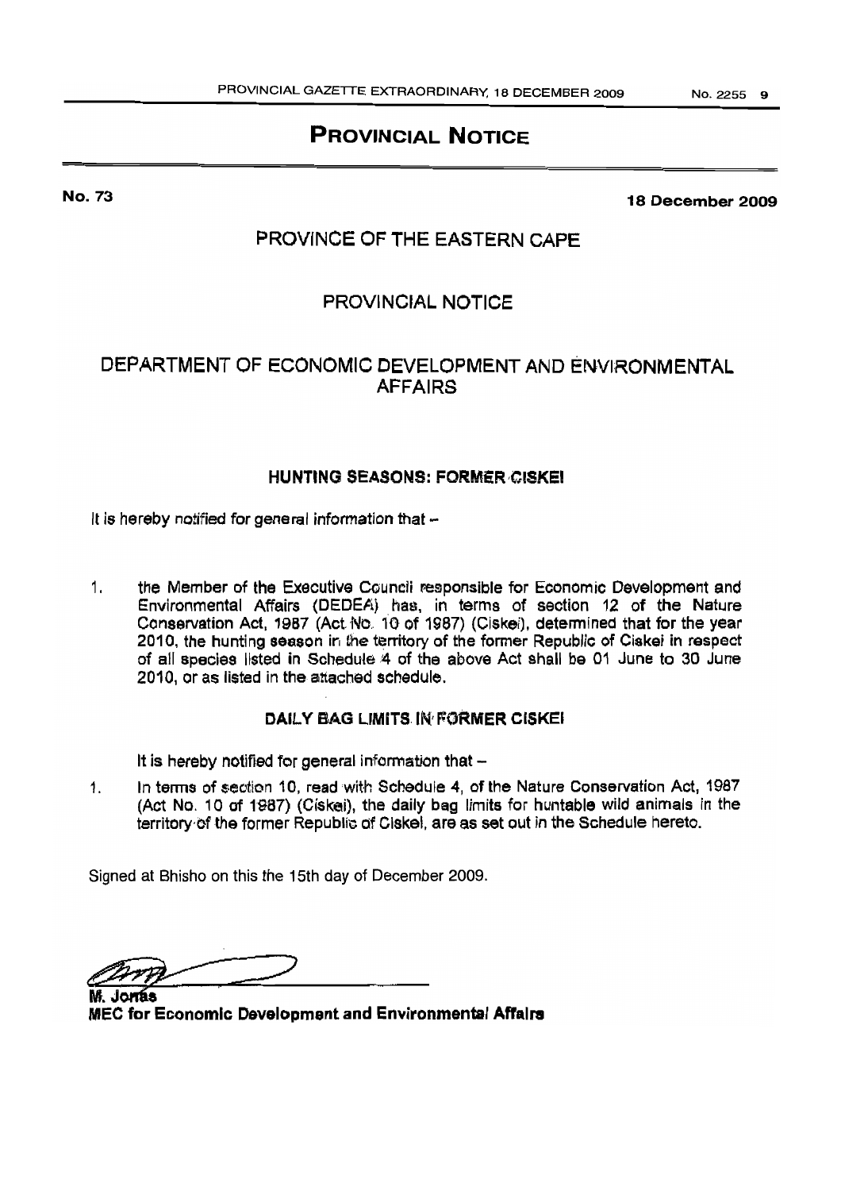# PROVINCIAL NOTICE

No. 73

18 December 2009

# PROVINCE OF THE EASTERN CAPE

# PROVINCIAL NOTICE

# DEPARTMENT OF ECONOMIC DEVELOPMENT AND ENVIRONMENTAL AFFAIRS

# HUNTING SEASONS: FORMER,CISKEI

It is hereby notified for general information that  $-$ 

1. the Member of the Executive Council responsible for Economic Development and Environmental Affairs (DEDEA) has, in terms of section 12 of the Nature Conservation Act, 1987 (Act. No. 10 of 1987) (Ciskei), determined that for the year 2010, the hunting season in the territory of the former Republic of Ciskei in respect of all species listed in Schedute4 of the above Act shall be 01 June to 30 June 2010, or as listed in the attached schedule.

## DAILY BAG LIMITS. IN FORMER CISKEI

It is hereby notified for general information that  $-$ 

1. In terms of sectlon 10, read with Schedule 4, of the Nature Conservation Act, 1987 (Act No. 10 of 1987) (Ciskei), the daily bag limits for huntable wild animals in the territory of the former Republic of Ciskel, are as set out in the Schedule hereto.

Signed at Bhisho on this the 15th day of December 2009.

Jonas MEC for Economic Development and Environmental Affairs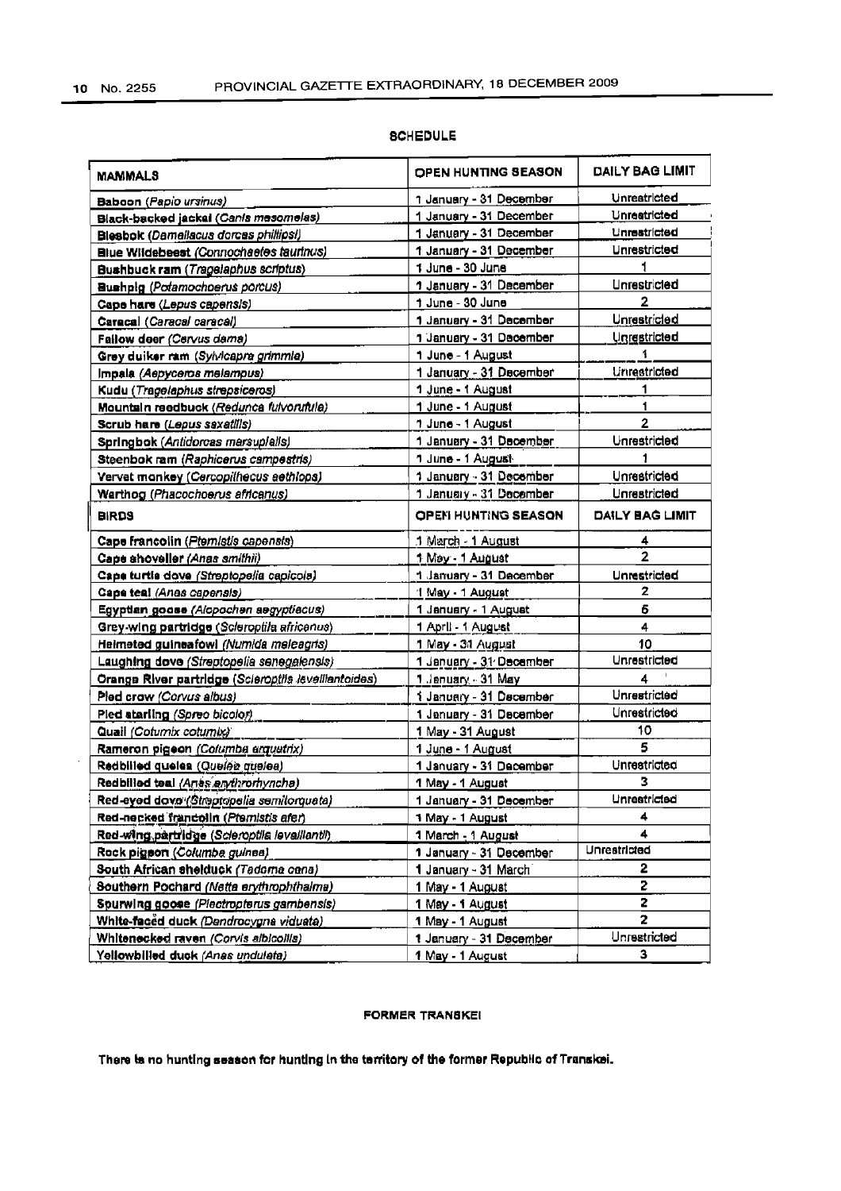$\overline{\phantom{a}}$ 

| <b>MAMMALS</b>                                       | <b>OPEN HUNTING SEASON</b>                  | DAILY BAG LIMIT     |
|------------------------------------------------------|---------------------------------------------|---------------------|
| Baboon (Papio ursinus)                               | 1 January - 31 De <u>cember</u>             | Unreatricted        |
| Black-backed jackel (Canis mesomelas)                | 1 January - 31 December                     | Unrestricted        |
| <b>Blesbok (Damallacus dorces phillipsi)</b>         | 1 January - 31 December                     | Unrestricted        |
| Blue Wildebeest (Connochaetes taurinus)              | 1 January - 31 December                     | <b>Unrestricted</b> |
| Bushbuck ram (Tragelaphus scriptus)                  | 1 June - 30 June                            |                     |
| Bushplg (Potamochoerus porcus)                       | 1 January - 31 December                     | <b>Unrestricted</b> |
| Cape hare (Lepus capensis)                           | 1 June - 30 June                            | 2                   |
| Caracal (Caracal caracal)                            | 1 January - 31 December                     | Unrestricted        |
| Fallow deer (Cervus dama)                            | 1 January - 31 December                     | <b>Unrestricted</b> |
| Grey duiker ram (Sylvicapra grimmla)                 | 1 June - 1 August                           |                     |
| Impala (Aepyceros melampus)                          | 1 January - 31 December                     | Urtrestricted       |
| Kudu (Tragelaphus strepsiceros)                      | 1 June - 1 August                           | 1                   |
| Mountain reedbuck (Redunca fulvorufula)              | 1 June - 1 August                           | 1                   |
| Scrub hare (Lepus saxatilis)                         | 1 June - 1 August                           | 2                   |
| Springbok (Antidorcas marsuplalis)                   | 1 January - 31 December                     | Unrestricted        |
| Steenbok ram (Raphicerus campestris)                 | 1 June - 1 August-                          | 1                   |
| Vervet monkey (Cercopithecus aethlops)               | 1 January - 31 December                     | Unrestricted        |
| Warthog (Phacochoerus africanus)                     | 1 January - 31 December                     | Unrestricted        |
| <b>BIRDS</b>                                         | <b>OPEN HUNTING SEASON</b>                  | DAILY BAG LIMIT     |
| Cape francolin (Ptemistis capensis)                  |                                             |                     |
|                                                      | 1 March - 1 August                          | 4<br>$\overline{2}$ |
| Cape shoveller (Anas smithii)                        | 1 May - 1 August<br>1 January - 31 December |                     |
| Cape turtle dove (Streptopella capicola)             |                                             | Unrestricted<br>2   |
| Cape teal (Anas capensis)                            | 1 May - 1 August                            | 6                   |
| Egyptian goose (Alopochen aegyptiacus)               | 1 January - 1 August                        | 4                   |
| Grey-wing partridge (Scleroptila africanus)          | 1 April - 1 August                          | 10                  |
| Helmeted guineafowl (Numida meleagris)               | 1 May - 31 August                           | Unrestricted        |
| Laughing dove (Streptopelia senegalensis)            | 1 January - 31 December                     |                     |
| Orange River partridge (Scieroptils levelliantoides) | 1 January - 31 May                          | 4<br>Unrestricted   |
| Pled craw (Corvus albus)                             | 1 January - 31 December                     |                     |
| Pled atariing (Spreo bicolor)                        | 1 Jenuary - 31 December                     | Unrestricted        |
| Quail (Cotumix cotumix)                              | 1 May - 31 August                           | 10                  |
| Rameron pigeon (Columba arquatrix)                   | 1 June - 1 August                           | 5                   |
| Redbilled queles (Queles queles)                     | 1 January - 31 December                     | Unrestricted        |
| Redbilled teal (Anss endiromyncha)                   | 1 May - 1 August                            | з                   |
| Red-eyed dove (Streptopelia semitorquata)            | 1 January - 31 December                     | Unrestricted        |
| Red-necked francolin (Pternistis afer)               | 1 May - 1 August                            | 4                   |
| Red-wing partridge (Scieroptila levalilantil)        | 1 March - 1 August                          | 4                   |
| Rock pigson (Columba guinea)                         | 1 January - 31 December                     | Unrestricted        |
| South African shelduck (Tedoma cana)                 | 1 January - 31 March                        | 2                   |
| Southern Pochard (Netta erythrophthalma)             | 1 May - 1 August                            | 2                   |
| Spurwing goose (Plectropterus gambensis)             | 1 May - 1 August                            | 2                   |
| White-faced duck (Dendrocygna viduata)               | 1 May - 1 August                            | 2                   |
| Whitenecked raven (Corvis albicolits)                | 1 January - 31 December                     | Unrestricted        |
| Yellowbilled duck (Anas undulata)                    | 1 May - 1 August                            | 3                   |

### **SCHEDULE**

### **FORMER TRANSKEI**

There is no hunting season for hunting in the territory of the former Republic of Transkei.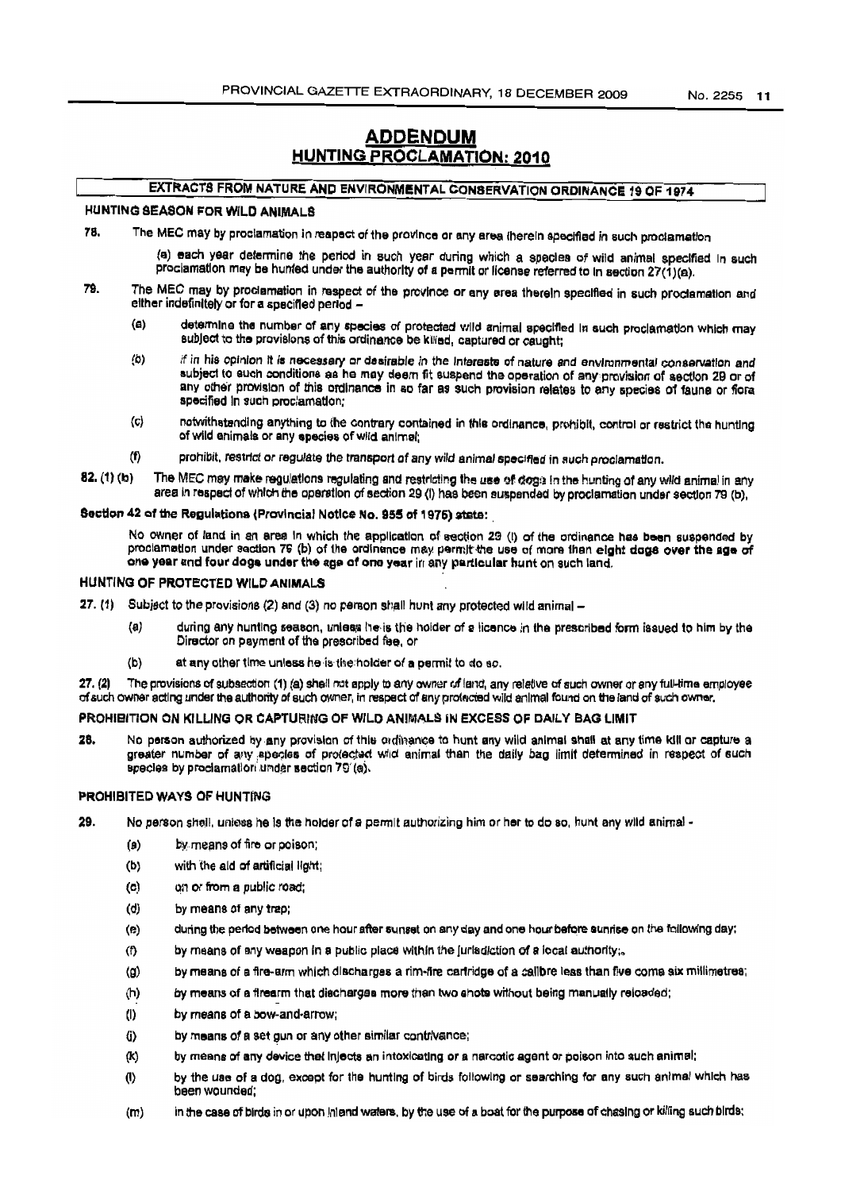## **ADDENDUM HUNTING PROCLAMATION: 2010**

## EXTRACTS FROM NATURE AND ENVIRONMENTAL CONSERVATION ORDINANCE 19 OF 1974

#### HUNTING SEASON FOR WILD ANIMALS

78. The MEC may by proclamation in reapect of the province or any area therein specified in such proclamation

> (a) each year determine the period in such year during which a species of wild animal specified in such proclamation may be hunted under the authority of a permit or license referred to in section 27(1)(a).

- 79. The MEC may by proclamation in respect of the province or any area therein specified in such proclamation and either indefinitely or for a specified period -
	- $(a)$ determine the number of any species of protected wild animal specified in such proclamation which may sublect to the provisions of this ordinance be killed, captured or caught;
	- $(b)$ if in his opinion it is necessary or desirable in the Interests of nature and environmental conservation and subject to such conditions as he may deem fit suspend the operation of any provision of section 29 or of any other provision of this ordinance in so far as such provision relates to any species of faune or flora specified in such proclamation:
	- notwithstanding anything to the contrary contained in this ordinance, prohibit, control or restrict the hunting  $\langle c \rangle$ of wild animals or any species of wild animal:
	- $(f)$ prohibit, restrict or regulate the transport of any wild animal specified in such proclamation.
- $82. (1)$  (b) The MEC may make regulations regulating and restricting the use of dogs in the hunting of any wild animal in any area in respect of which the operation of section 29 (i) has been suspended by proclamation under section 79 (b),

### Section 42 of the Regulations (Provincial Notice No. 955 of 1975) state:

No owner of land in an area in which the application of section 29 (i) of the ordinance has been suspended by proclamation under section 79 (b) of the ordinance may permit the use of more than eight dogs over the age of one year and four dogs under the age of one year in any particular hunt on such land.

#### HUNTING OF PROTECTED WILD ANIMALS

- 27. (1) Subject to the provisions (2) and (3) no person shall hunt any protected wild animal -
	- $(a)$ during any hunting season, unless he is the holder of a licence in the prescribed form issued to him by the Director on payment of the prescribed fee, or
	- $(b)$ at any other time unless he is the holder of a permit to do so.

 $27. (2)$ The provisions of subsection (1) (a) shall not apply to any owner of land, any relative of such owner or any full-time employee of such owner acting under the authority of such owner, in respect of any protected wild animal found on the land of such owner.

#### PROHIBITION ON KILLING OR CAPTURING OF WILD ANIMALS IN EXCESS OF DAILY BAG LIMIT

No person authorized by any provision of this ordinance to hunt any wild animal shall at any time kill or capture a 28. greater number of any apecies of protected wild animal than the daily bag limit determined in respect of such species by proclamation under section 79 (a).

#### PROHIBITED WAYS OF HUNTING

- 29. No person shell, unless he is the holder of a permit authorizing him or her to do so, hunt any wild animal
	- by means of fire or poison;  $(a)$
	- with the ald of artificial light;  $(b)$
	- $(c)$ on or from a public road;
	- $(d)$ by means of any trap:
	- during the period between one hour after sunset on any day and one hour before sunrise on the following day;  $(e)$
	- by means of any weapon in a public place within the jurisdiction of a local authority;.  $(f)$
	- by means of a fire-arm which discharges a rim-fire cartridge of a calibre less than five coma six millimetres;  $(a)$
	- by means of a firearm that discharges more than two shots without being manually reloaded;  $(h)$
	- (1) by means of a bow-and-arrow;
	- $(i)$ by means of a set gun or any other similar contrivance;
	- by means of any device that injects an intoxicating or a narcotic agent or poison into such animal; (K)
	- by the use of a dog, except for the hunting of birds following or searching for any such animal which has  $(1)$ been wounded;
	- $(m)$ in the case of birds in or upon injend waters, by the use of a boat for the purpose of chasing or killing such birds;